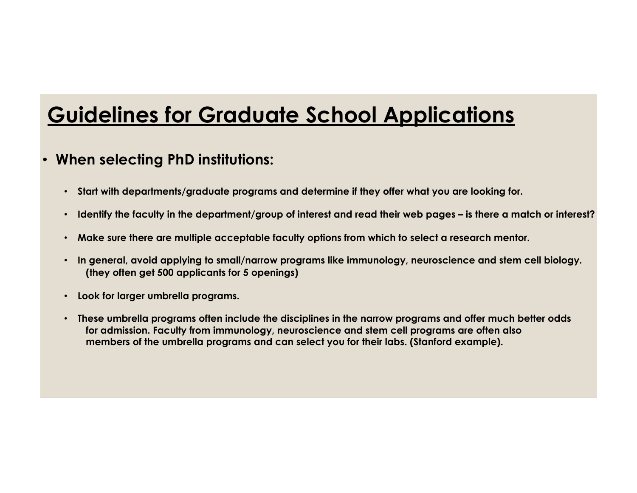## • **When selecting PhD institutions:**

- **Start with departments/graduate programs and determine if they offer what you are looking for.**
- **Identify the faculty in the department/group of interest and read their web pages – is there a match or interest?**
- **Make sure there are multiple acceptable faculty options from which to select a research mentor.**
- **In general, avoid applying to small/narrow programs like immunology, neuroscience and stem cell biology. (they often get 500 applicants for 5 openings)**
- **Look for larger umbrella programs.**
- **These umbrella programs often include the disciplines in the narrow programs and offer much better odds for admission. Faculty from immunology, neuroscience and stem cell programs are often also members of the umbrella programs and can select you for their labs. (Stanford example).**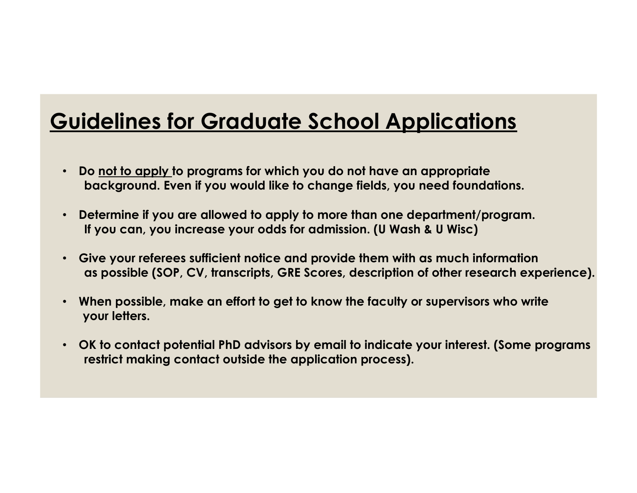- **Do not to apply to programs for which you do not have an appropriate background. Even if you would like to change fields, you need foundations.**
- **Determine if you are allowed to apply to more than one department/program. If you can, you increase your odds for admission. (U Wash & U Wisc)**
- **Give your referees sufficient notice and provide them with as much information as possible (SOP, CV, transcripts, GRE Scores, description of other research experience).**
- **When possible, make an effort to get to know the faculty or supervisors who write your letters.**
- **OK to contact potential PhD advisors by email to indicate your interest. (Some programs restrict making contact outside the application process).**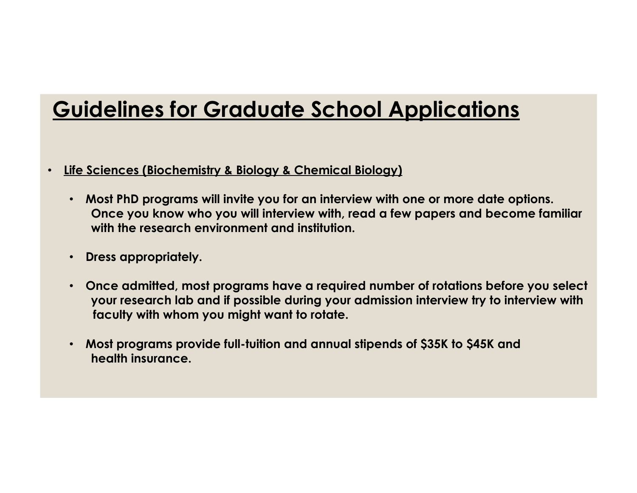- **Life Sciences (Biochemistry & Biology & Chemical Biology)**
	- **Most PhD programs will invite you for an interview with one or more date options. Once you know who you will interview with, read a few papers and become familiar with the research environment and institution.**
	- **Dress appropriately.**
	- **Once admitted, most programs have a required number of rotations before you select your research lab and if possible during your admission interview try to interview with faculty with whom you might want to rotate.**
	- **Most programs provide full-tuition and annual stipends of \$35K to \$45K and health insurance.**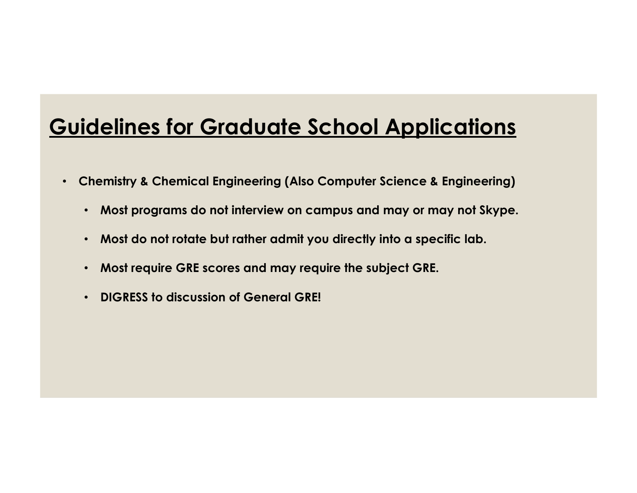- **Chemistry & Chemical Engineering (Also Computer Science & Engineering)**
	- **Most programs do not interview on campus and may or may not Skype.**
	- **Most do not rotate but rather admit you directly into a specific lab.**
	- **Most require GRE scores and may require the subject GRE.**
	- **DIGRESS to discussion of General GRE!**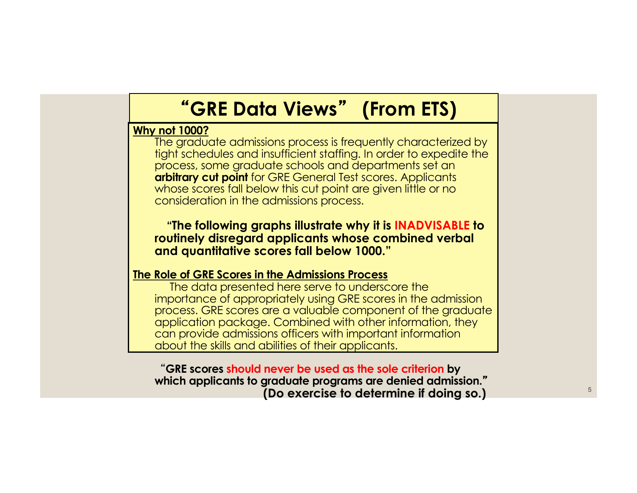# **GRE Data Views** - **(From ETS)**

### **Why not 1000?**

The graduate admissions process is frequently characterized by tight schedules and insufficient staffing. In order to expedite the process, some graduate schools and departments set an **arbitrary cut point** for GRE General Test scores. Applicants whose scores fall below this cut point are given little or no consideration in the admissions process.

**"The following graphs illustrate why it is INADVISABLE to routinely disregard applicants whose combined verbal and quantitative scores fall below 1000."**

### **The Role of GRE Scores in the Admissions Process**

The data presented here serve to underscore the importance of appropriately using GRE scores in the admission process. GRE scores are a valuable component of the graduate application package. Combined with other information, they can provide admissions officers with important information about the skills and abilities of their applicants.

**GRE scores should never be used as the sole criterion by which applicants to graduate programs are denied admission.** - **(Do exercise to determine if doing so.)**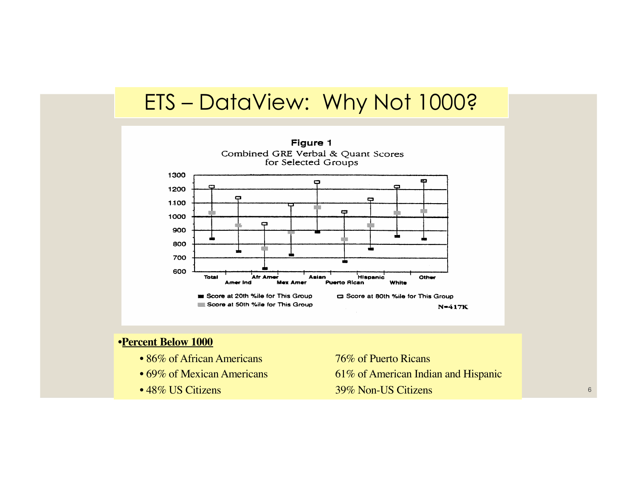# ETS – DataView: Why Not 1000?



### •**Percent Below 1000**

- 86% of African Americans 76% of Puerto Ricans
- 
- 

• 69% of Mexican Americans 61% of American Indian and Hispanic • 48% US Citizens 39% Non-US Citizens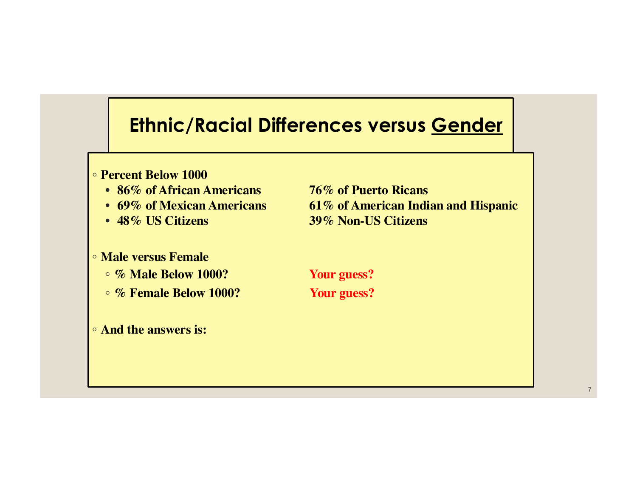## **Ethnic/Racial Differences versus Gender**

- **Percent Below 1000**
	-
	-
	-
- **Male versus Female**
	- **% Male Below 1000? Your guess?**
	- **% Female Below 1000? Your guess?**
- **And the answers is:**

• **86% of African Americans 76% of Puerto Ricans**  • **69% of Mexican Americans 61% of American Indian and Hispanic** • **48% US Citizens 39% Non-US Citizens**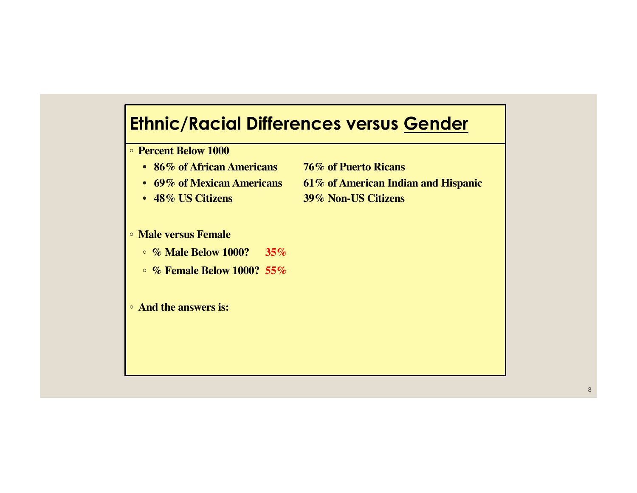## **Ethnic/Racial Differences versus Gender**

◦ **Percent Below 1000**

- **86% of African Americans 76% of Puerto Ricans**
- 
- 

### ◦ **Male versus Female**

◦ **% Male Below 1000? 35%**

- **% Female Below 1000? 55%**
- **And the answers is:**
- 
- **69% of Mexican Americans 61% of American Indian and Hispanic**
- **48% US Citizens 39% Non-US Citizens**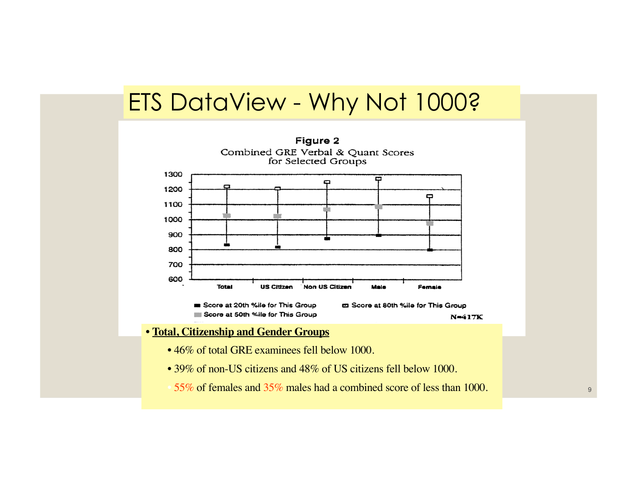# ETS DataView - Why Not 1000?

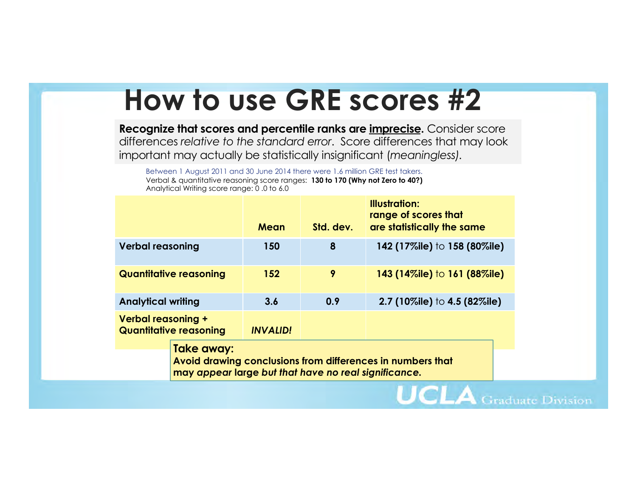# **How to use GRE scores #2**

**Recognize that scores and percentile ranks are imprecise.** Consider score differences *relative to the standard error*. Score differences that may look important may actually be statistically insignificant (*meaningless).* 

Between 1 August 2011 and 30 June 2014 there were 1.6 million GRE test takers. Verbal & quantitative reasoning score ranges: **130 to 170 (Why not Zero to 40?)** Analytical Writing score range: 0 .0 to 6.0

|                                                            |                                                                                                                                  | Mean            | Std. dev. | <b>Illustration:</b><br>range of scores that<br>are statistically the same |  |  |  |  |
|------------------------------------------------------------|----------------------------------------------------------------------------------------------------------------------------------|-----------------|-----------|----------------------------------------------------------------------------|--|--|--|--|
| <b>Verbal reasoning</b>                                    |                                                                                                                                  | 150             | 8         | 142 (17%ile) to 158 (80%ile)                                               |  |  |  |  |
|                                                            | <b>Quantitative reasoning</b>                                                                                                    | 152             | 9         | 143 (14%ile) to 161 (88%ile)                                               |  |  |  |  |
| <b>Analytical writing</b>                                  |                                                                                                                                  | 3.6             | 0.9       | 2.7 (10%ile) to 4.5 (82%ile)                                               |  |  |  |  |
| <b>Verbal reasoning +</b><br><b>Quantitative reasoning</b> |                                                                                                                                  | <b>INVALID!</b> |           |                                                                            |  |  |  |  |
|                                                            | Take away:<br>Avoid drawing conclusions from differences in numbers that<br>may appear large but that have no real significance. |                 |           |                                                                            |  |  |  |  |

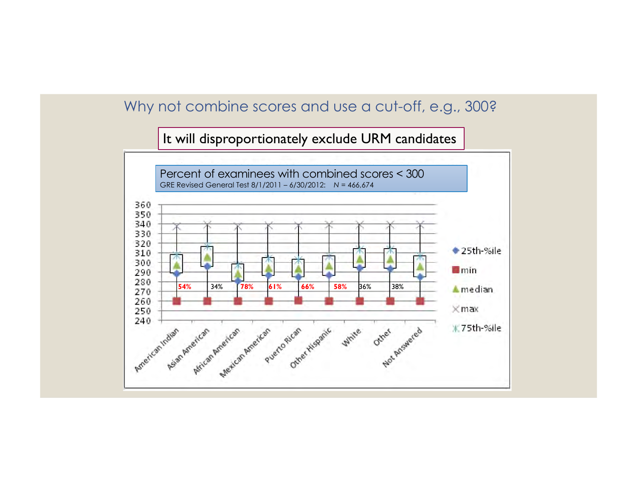## Why not combine scores and use a cut-off, e.g., 300?

### It will disproportionately exclude URM candidates

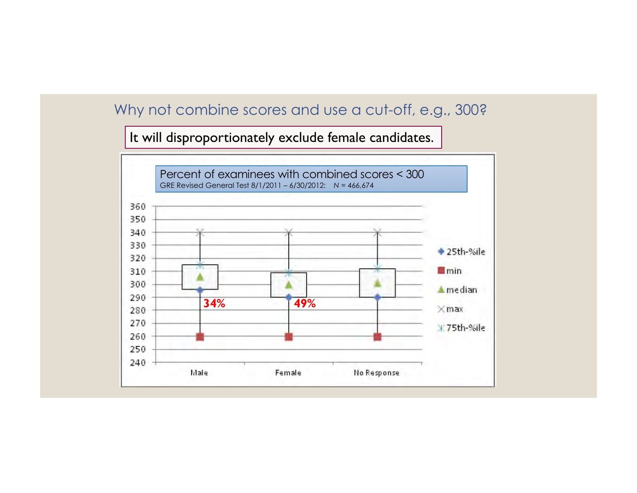## Why not combine scores and use a cut-off, e.g., 300?

It will disproportionately exclude female candidates.

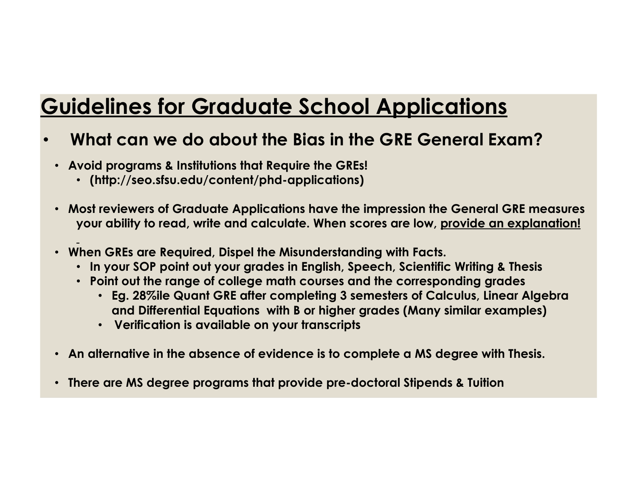## • **What can we do about the Bias in the GRE General Exam?**

- **Avoid programs & Institutions that Require the GREs!**
	- **(http://seo.sfsu.edu/content/phd-applications)**
- **Most reviewers of Graduate Applications have the impression the General GRE measures your ability to read, write and calculate. When scores are low, provide an explanation!**
- **When GREs are Required, Dispel the Misunderstanding with Facts.**
	- **In your SOP point out your grades in English, Speech, Scientific Writing & Thesis**
	- **Point out the range of college math courses and the corresponding grades**
		- **Eg. 28%ile Quant GRE after completing 3 semesters of Calculus, Linear Algebra and Differential Equations with B or higher grades (Many similar examples)**
		- **Verification is available on your transcripts**
- **An alternative in the absence of evidence is to complete a MS degree with Thesis.**
- **There are MS degree programs that provide pre-doctoral Stipends & Tuition**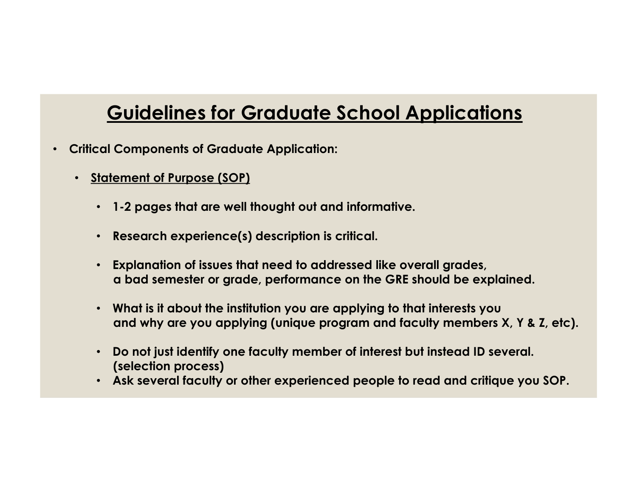- **Critical Components of Graduate Application:**
	- **Statement of Purpose (SOP)**
		- **1-2 pages that are well thought out and informative.**
		- **Research experience(s) description is critical.**
		- **Explanation of issues that need to addressed like overall grades, a bad semester or grade, performance on the GRE should be explained.**
		- **What is it about the institution you are applying to that interests you and why are you applying (unique program and faculty members X, Y & Z, etc).**
		- **Do not just identify one faculty member of interest but instead ID several. (selection process)**
		- **Ask several faculty or other experienced people to read and critique you SOP.**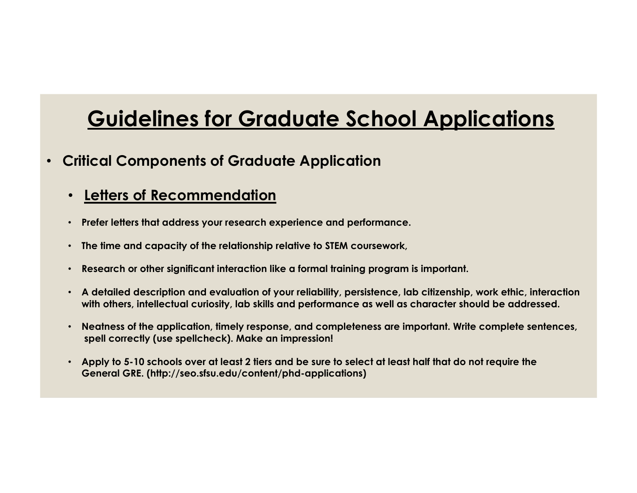- **Critical Components of Graduate Application**
	- **Letters of Recommendation**
	- **Prefer letters that address your research experience and performance.**
	- **The time and capacity of the relationship relative to STEM coursework,**
	- **Research or other significant interaction like a formal training program is important.**
	- **A detailed description and evaluation of your reliability, persistence, lab citizenship, work ethic, interaction with others, intellectual curiosity, lab skills and performance as well as character should be addressed.**
	- **Neatness of the application, timely response, and completeness are important. Write complete sentences, spell correctly (use spellcheck). Make an impression!**
	- **Apply to 5-10 schools over at least 2 tiers and be sure to select at least half that do not require the General GRE. (http://seo.sfsu.edu/content/phd-applications)**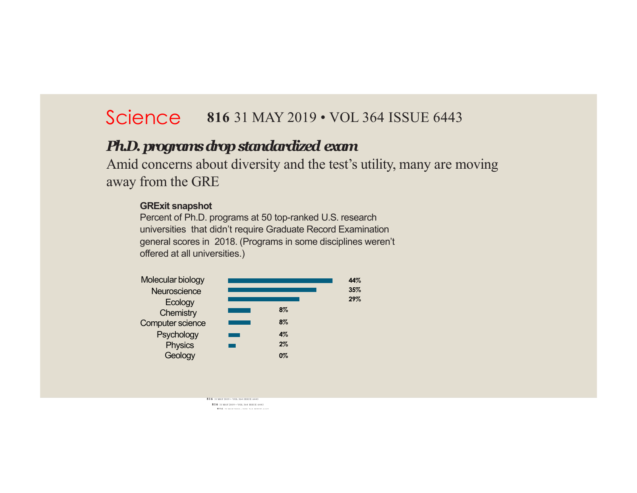## Science 816 31 MAY 2019 • VOL 364 ISSUE 6443

### *Ph.D. programs drop standardized exam*

Amid concerns about diversity and the test's utility, many are moving away from the GRE

#### **GRExit snapshot**

Percent of Ph.D. programs at 50 top-ranked U.S. research universities that didn't require Graduate Record Examination general scores in 2018. (Programs in some disciplines weren't offered at all universities.)



**816** 31 MAY 2019 • VOL 364 ISSUE 6443 **816** 31 MAY 2019 • VOL 364 ISSUE 6443 **816** 31 MAY 2019 • VOL 364 ISSUE 6443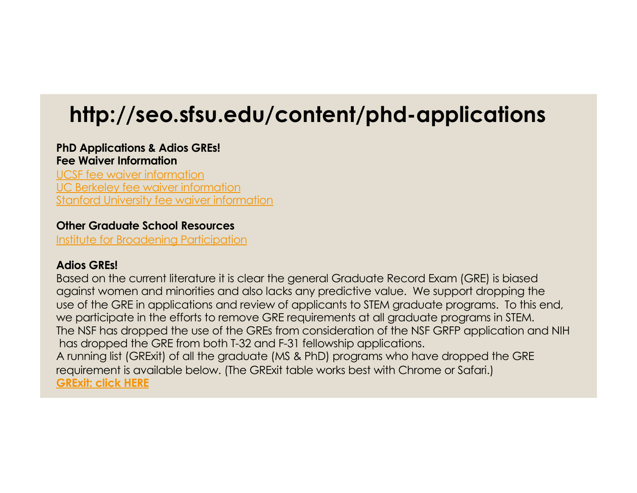# **http://seo.sfsu.edu/content/phd-applications**

### **PhD Applications & Adios GREs! Fee Waiver Information**

UCSF [fee waiver inform](http://graduate.ucsf.edu/application-fee-waivers)ation UC [Berkeley fee waiver inform](http://grad.berkeley.edu/admissions/apply/fee-waiver/)ation [Stanford University fee waiver inform](https://graddiversity.stanford.edu/graduate-fee-waivers)ation

### **Other Graduate School Resources**

[Institute for Broadening Particip](http://www.pathwaystoscience.org/)ation

### **Adios GREs!**

Based on the current literature it is clear the general Graduate Record Exam (GRE) is biased against women and minorities and also lacks any predictive value. We support dropping the use of the GRE in applications and review of applicants to STEM graduate programs. To this end, we participate in the efforts to remove GRE requirements at all graduate programs in STEM. The NSF has dropped the use of the GREs from consideration of the NSF GRFP application and NIH has dropped the GRE from both T-32 and F-31 fellowship applications. A running list (GRExit) of all the graduate (MS & PhD) programs who have dropped the GRE requirement is available below. (The GRExit table works best with Chrome or Safari.) **[GRExit:](http://docs.google.com/spreadsheets/d/1MYcxZMhf97H5Uxr2Y7XndHn6eEC5oO8XWQi2PU5jLxQ/edit?usp=sharing) click HERE**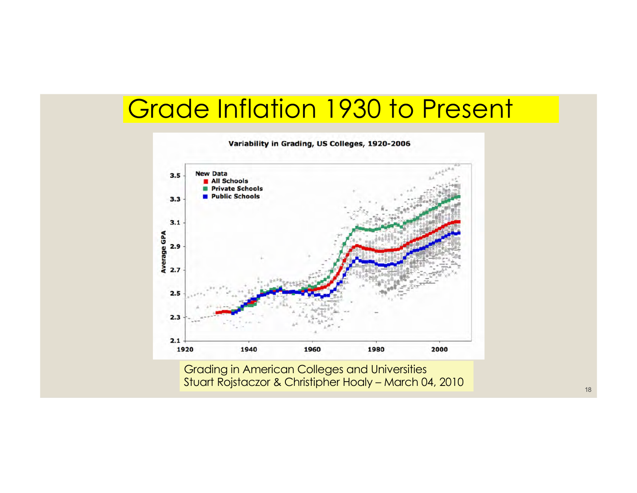# Grade Inflation 1930 to Present



18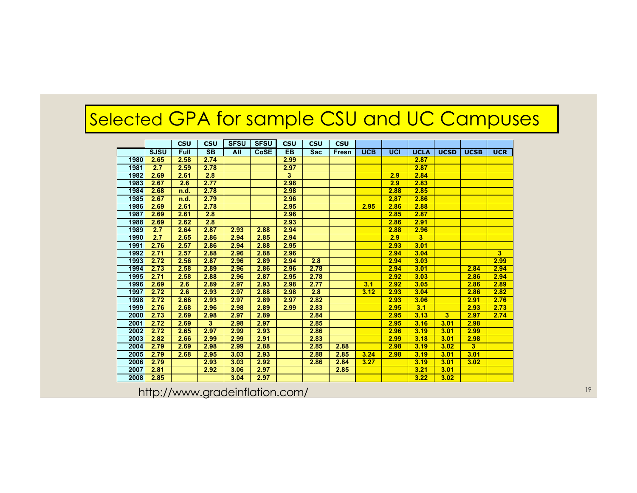# Selected GPA for sample CSU and UC Campuses

|      |             | <b>CSU</b>  | <b>CSU</b>             | <b>SFSU</b> | <b>SFSU</b> | <b>CSU</b> | <b>CSU</b> | <b>CSU</b> |            |      |                         |             |                |            |
|------|-------------|-------------|------------------------|-------------|-------------|------------|------------|------------|------------|------|-------------------------|-------------|----------------|------------|
|      | <b>SJSU</b> | <b>Full</b> | $\overline{\text{SB}}$ | All         | <b>CoSE</b> | <b>EB</b>  | <b>Sac</b> | Fresn      | <b>UCB</b> | UCI  | <b>UCLA</b>             | <b>UCSD</b> | <b>UCSB</b>    | <b>UCR</b> |
| 1980 | 2.65        | 2.58        | 2.74                   |             |             | 2.99       |            |            |            |      | 2.87                    |             |                |            |
| 1981 | 2.7         | 2.59        | 2.78                   |             |             | 2.97       |            |            |            |      | 2.87                    |             |                |            |
| 1982 | 2.69        | 2.61        | 2.8                    |             |             | 3          |            |            |            | 2.9  | 2.84                    |             |                |            |
| 1983 | 2.67        | 2.6         | 2.77                   |             |             | 2.98       |            |            |            | 2.9  | 2.83                    |             |                |            |
| 1984 | 2.68        | n.d.        | 2.78                   |             |             | 2.98       |            |            |            | 2.88 | 2.85                    |             |                |            |
| 1985 | 2.67        | n.d.        | 2.79                   |             |             | 2.96       |            |            |            | 2,87 | 2.86                    |             |                |            |
| 1986 | 2.69        | 2.61        | 2.78                   |             |             | 2.95       |            |            | 2.95       | 2.86 | 2.88                    |             |                |            |
| 1987 | 2.69        | 2.61        | 2.8                    |             |             | 2.96       |            |            |            | 2.85 | 2.87                    |             |                |            |
| 1988 | 2.69        | 2.62        | 2.8                    |             |             | 2.93       |            |            |            | 2.86 | 2.91                    |             |                |            |
| 1989 | 2.7         | 2.64        | 2.87                   | 2.93        | 2.88        | 2.94       |            |            |            | 2.88 | 2.96                    |             |                |            |
| 1990 | 2.7         | 2.65        | 2.86                   | 2.94        | 2.85        | 2.94       |            |            |            | 2.9  | $\overline{\mathbf{3}}$ |             |                |            |
| 1991 | 2.76        | 2.57        | 2.86                   | 2.94        | 2.88        | 2.95       |            |            |            | 2.93 | 3.01                    |             |                |            |
| 1992 | 2.71        | 2.57        | 2.88                   | 2.96        | 2.88        | 2.96       |            |            |            | 2.94 | 3.04                    |             |                | 3          |
| 1993 | 2.72        | 2.56        | 2.87                   | 2.96        | 2.89        | 2.94       | 2.8        |            |            | 2.94 | 3.03                    |             |                | 2.99       |
| 1994 | 2.73        | 2.58        | 2.89                   | 2.96        | 2.86        | 2.96       | 2.78       |            |            | 2.94 | 3.01                    |             | 2.84           | 2.94       |
| 1995 | 2.71        | 2.58        | 2.88                   | 2.96        | 2.87        | 2.95       | 2.78       |            |            | 2.92 | 3.03                    |             | 2.86           | 2.94       |
| 1996 | 2.69        | 2.6         | 2.89                   | 2.97        | 2.93        | 2.98       | 2.77       |            | 3.1        | 2.92 | 3.05                    |             | 2.86           | 2.89       |
| 1997 | 2.72        | 2.6         | 2.93                   | 2.97        | 2.88        | 2.98       | 2.8        |            | 3.12       | 2.93 | 3.04                    |             | 2.86           | 2.82       |
| 1998 | 2.72        | 2.66        | 2.93                   | 2.97        | 2.89        | 2.97       | 2.82       |            |            | 2.93 | 3.06                    |             | 2.91           | 2.76       |
| 1999 | 2.76        | 2.68        | 2.96                   | 2.98        | 2.89        | 2.99       | 2.83       |            |            | 2.95 | 3.1                     |             | 2.93           | 2.73       |
| 2000 | 2.73        | 2.69        | 2.98                   | 2.97        | 2.89        |            | 2.84       |            |            | 2.95 | 3.13                    | 3           | 2.97           | 2.74       |
| 2001 | 2.72        | 2.69        | 3                      | 2.98        | 2.97        |            | 2.85       |            |            | 2.95 | 3.16                    | 3.01        | 2.98           |            |
| 2002 | 2.72        | 2.65        | 2.97                   | 2.99        | 2.93        |            | 2.86       |            |            | 2.96 | 3.19                    | 3.01        | 2.99           |            |
| 2003 | 2.82        | 2.66        | 2.99                   | 2.99        | 2.91        |            | 2.83       |            |            | 2.99 | 3.18                    | 3.01        | 2.98           |            |
| 2004 | 2.79        | 2.69        | 2.98                   | 2.99        | 2.88        |            | 2.85       | 2.88       |            | 2.98 | 3.19                    | 3.02        | 3 <sup>1</sup> |            |
| 2005 | 2.79        | 2.68        | 2.95                   | 3.03        | 2.93        |            | 2.88       | 2.85       | 3.24       | 2.98 | 3.19                    | 3.01        | 3.01           |            |
| 2006 | 2.79        |             | 2.93                   | 3.03        | 2.92        |            | 2.86       | 2.84       | 3.27       |      | 3.19                    | 3.01        | 3.02           |            |
| 2007 | 2.81        |             | 2.92                   | 3.06        | 2.97        |            |            | 2.85       |            |      | 3.21                    | 3.01        |                |            |
| 2008 | 2.85        |             |                        | 3.04        | 2.97        |            |            |            |            |      | 3.22                    | 3.02        |                |            |

http://www.gradeinflation.com/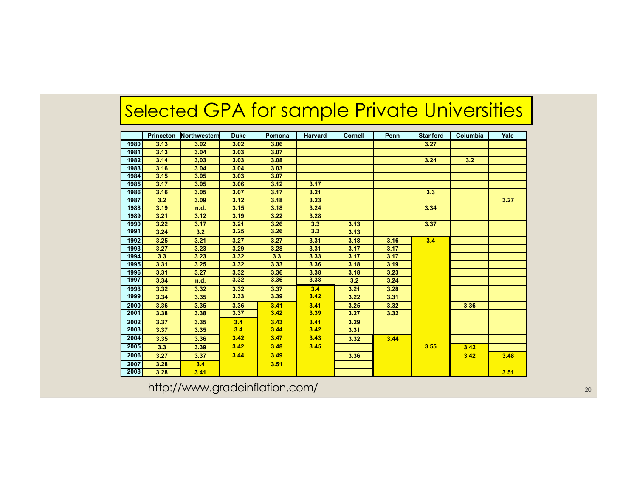# Selected GPA for sample Private Universities

|      | <b>Princeton</b> | Northwestern | <b>Duke</b> | Pomona | <b>Harvard</b> | <b>Cornell</b> | Penn | <b>Stanford</b> | Columbia         | Yale |
|------|------------------|--------------|-------------|--------|----------------|----------------|------|-----------------|------------------|------|
| 1980 | 3.13             | 3.02         | 3.02        | 3.06   |                |                |      | 3.27            |                  |      |
| 1981 | 3.13             | 3.04         | 3.03        | 3.07   |                |                |      |                 |                  |      |
| 1982 | 3.14             | 3,03         | 3.03        | 3.08   |                |                |      | 3.24            | 3.2 <sub>2</sub> |      |
| 1983 | 3.16             | 3.04         | 3.04        | 3.03   |                |                |      |                 |                  |      |
| 1984 | 3.15             | 3.05         | 3.03        | 3.07   |                |                |      |                 |                  |      |
| 1985 | 3.17             | 3.05         | 3.06        | 3.12   | 3.17           |                |      |                 |                  |      |
| 1986 | 3.16             | 3.05         | 3.07        | 3.17   | 3.21           |                |      | 3.3             |                  |      |
| 1987 | 3.2              | 3.09         | 3.12        | 3.18   | 3.23           |                |      |                 |                  | 3.27 |
| 1988 | 3.19             | n.d.         | 3.15        | 3.18   | 3.24           |                |      | 3.34            |                  |      |
| 1989 | 3.21             | 3.12         | 3.19        | 3.22   | 3.28           |                |      |                 |                  |      |
| 1990 | 3.22             | 3.17         | 3.21        | 3.26   | 3.3            | 3.13           |      | 3.37            |                  |      |
| 1991 | 3.24             | 3.2          | 3.25        | 3.26   | 3.3            | 3.13           |      |                 |                  |      |
| 1992 | 3.25             | 3.21         | 3.27        | 3.27   | 3.31           | 3.18           | 3.16 | 3.4             |                  |      |
| 1993 | 3.27             | 3.23         | 3.29        | 3.28   | 3.31           | 3.17           | 3.17 |                 |                  |      |
| 1994 | 3.3              | 3.23         | 3.32        | 3.3    | 3.33           | 3.17           | 3.17 |                 |                  |      |
| 1995 | 3.31             | 3.25         | 3.32        | 3.33   | 3.36           | 3.18           | 3.19 |                 |                  |      |
| 1996 | 3.31             | 3.27         | 3.32        | 3.36   | 3.38           | 3.18           | 3.23 |                 |                  |      |
| 1997 | 3.34             | n.d.         | 3.32        | 3.36   | 3.38           | 3.2            | 3.24 |                 |                  |      |
| 1998 | 3.32             | 3.32         | 3.32        | 3.37   | 3.4            | 3.21           | 3.28 |                 |                  |      |
| 1999 | 3.34             | 3.35         | 3.33        | 3.39   | 3.42           | 3.22           | 3.31 |                 |                  |      |
| 2000 | 3.36             | 3.35         | 3.36        | 3.41   | 3.41           | 3.25           | 3.32 |                 | 3.36             |      |
| 2001 | 3.38             | 3.38         | 3.37        | 3.42   | 3.39           | 3.27           | 3.32 |                 |                  |      |
| 2002 | 3.37             | 3.35         | 3.4         | 3.43   | 3.41           | 3.29           |      |                 |                  |      |
| 2003 | 3.37             | 3.35         | 3.4         | 3.44   | 3.42           | 3.31           |      |                 |                  |      |
| 2004 | 3.35             | 3.36         | 3.42        | 3.47   | 3.43           | 3.32           | 3.44 |                 |                  |      |
| 2005 | 3.3              | 3.39         | 3.42        | 3.48   | 3.45           |                |      | 3.55            | 3.42             |      |
| 2006 | 3.27             | 3.37         | 3.44        | 3.49   |                | 3.36           |      |                 | 3.42             | 3.48 |
| 2007 | 3.28             | 3.4          |             | 3.51   |                |                |      |                 |                  |      |
| 2008 | 3.28             | 3.41         |             |        |                |                |      |                 |                  | 3.51 |

http://www.gradeinflation.com/